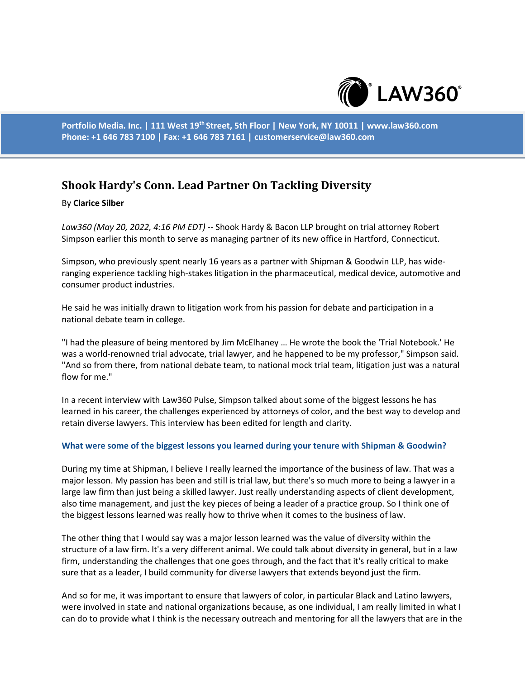

**Portfolio Media. Inc. | 111 West 19th Street, 5th Floor | New York, NY 10011 | www.law360.com Phone: +1 646 783 7100 | Fax: +1 646 783 7161 | customerservice@law360.com**

# **Shook Hardy's Conn. Lead Partner On Tackling Diversity**

#### By **Clarice Silber**

*Law360 (May 20, 2022, 4:16 PM EDT)* -- Shook Hardy & Bacon LLP brought on trial attorney Robert Simpson earlier this month to serve as managing partner of its new office in Hartford, Connecticut.

Simpson, who previously spent nearly 16 years as a partner with Shipman & Goodwin LLP, has wideranging experience tackling high-stakes litigation in the pharmaceutical, medical device, automotive and consumer product industries.

He said he was initially drawn to litigation work from his passion for debate and participation in a national debate team in college.

"I had the pleasure of being mentored by Jim McElhaney … He wrote the book the 'Trial Notebook.' He was a world-renowned trial advocate, trial lawyer, and he happened to be my professor," Simpson said. "And so from there, from national debate team, to national mock trial team, litigation just was a natural flow for me."

In a recent interview with Law360 Pulse, Simpson talked about some of the biggest lessons he has learned in his career, the challenges experienced by attorneys of color, and the best way to develop and retain diverse lawyers. This interview has been edited for length and clarity.

#### **What were some of the biggest lessons you learned during your tenure with Shipman & Goodwin?**

During my time at Shipman, I believe I really learned the importance of the business of law. That was a major lesson. My passion has been and still is trial law, but there's so much more to being a lawyer in a large law firm than just being a skilled lawyer. Just really understanding aspects of client development, also time management, and just the key pieces of being a leader of a practice group. So I think one of the biggest lessons learned was really how to thrive when it comes to the business of law.

The other thing that I would say was a major lesson learned was the value of diversity within the structure of a law firm. It's a very different animal. We could talk about diversity in general, but in a law firm, understanding the challenges that one goes through, and the fact that it's really critical to make sure that as a leader, I build community for diverse lawyers that extends beyond just the firm.

And so for me, it was important to ensure that lawyers of color, in particular Black and Latino lawyers, were involved in state and national organizations because, as one individual, I am really limited in what I can do to provide what I think is the necessary outreach and mentoring for all the lawyers that are in the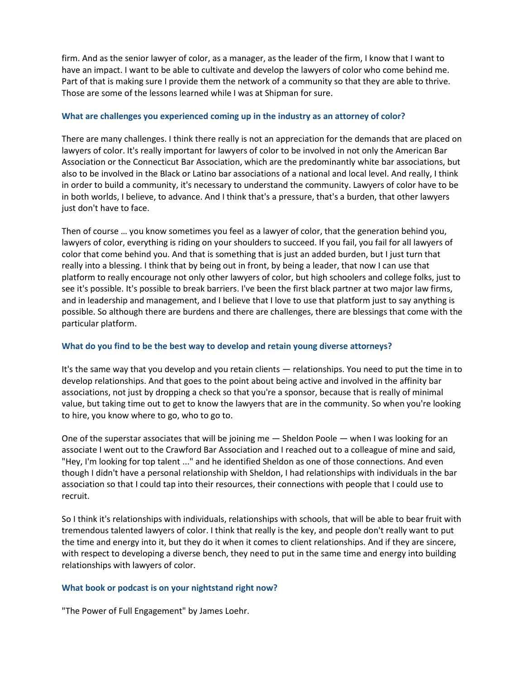firm. And as the senior lawyer of color, as a manager, as the leader of the firm, I know that I want to have an impact. I want to be able to cultivate and develop the lawyers of color who come behind me. Part of that is making sure I provide them the network of a community so that they are able to thrive. Those are some of the lessons learned while I was at Shipman for sure.

## **What are challenges you experienced coming up in the industry as an attorney of color?**

There are many challenges. I think there really is not an appreciation for the demands that are placed on lawyers of color. It's really important for lawyers of color to be involved in not only the American Bar Association or the Connecticut Bar Association, which are the predominantly white bar associations, but also to be involved in the Black or Latino bar associations of a national and local level. And really, I think in order to build a community, it's necessary to understand the community. Lawyers of color have to be in both worlds, I believe, to advance. And I think that's a pressure, that's a burden, that other lawyers just don't have to face.

Then of course … you know sometimes you feel as a lawyer of color, that the generation behind you, lawyers of color, everything is riding on your shoulders to succeed. If you fail, you fail for all lawyers of color that come behind you. And that is something that is just an added burden, but I just turn that really into a blessing. I think that by being out in front, by being a leader, that now I can use that platform to really encourage not only other lawyers of color, but high schoolers and college folks, just to see it's possible. It's possible to break barriers. I've been the first black partner at two major law firms, and in leadership and management, and I believe that I love to use that platform just to say anything is possible. So although there are burdens and there are challenges, there are blessings that come with the particular platform.

## **What do you find to be the best way to develop and retain young diverse attorneys?**

It's the same way that you develop and you retain clients — relationships. You need to put the time in to develop relationships. And that goes to the point about being active and involved in the affinity bar associations, not just by dropping a check so that you're a sponsor, because that is really of minimal value, but taking time out to get to know the lawyers that are in the community. So when you're looking to hire, you know where to go, who to go to.

One of the superstar associates that will be joining me — Sheldon Poole — when I was looking for an associate I went out to the Crawford Bar Association and I reached out to a colleague of mine and said, "Hey, I'm looking for top talent ..." and he identified Sheldon as one of those connections. And even though I didn't have a personal relationship with Sheldon, I had relationships with individuals in the bar association so that I could tap into their resources, their connections with people that I could use to recruit.

So I think it's relationships with individuals, relationships with schools, that will be able to bear fruit with tremendous talented lawyers of color. I think that really is the key, and people don't really want to put the time and energy into it, but they do it when it comes to client relationships. And if they are sincere, with respect to developing a diverse bench, they need to put in the same time and energy into building relationships with lawyers of color.

### **What book or podcast is on your nightstand right now?**

"The Power of Full Engagement" by James Loehr.